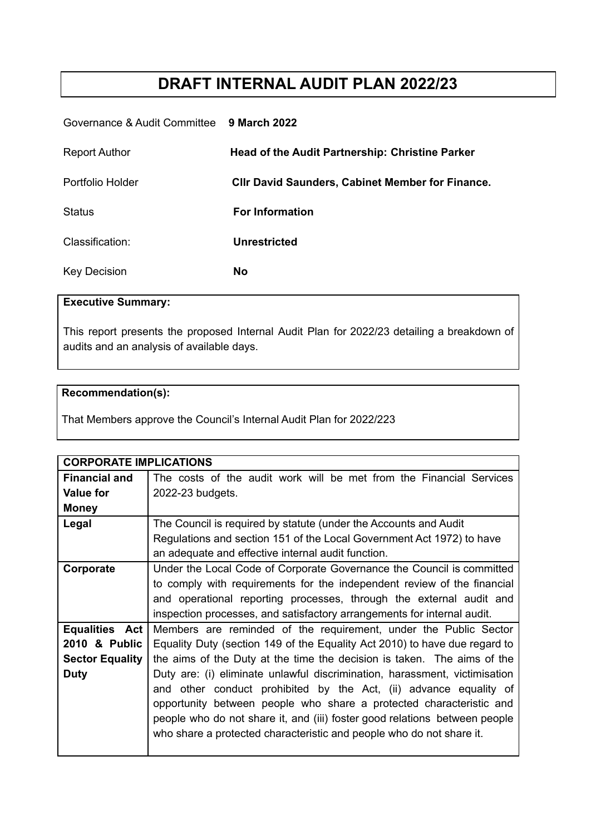# **DRAFT INTERNAL AUDIT PLAN 2022/23**

#### Governance & Audit Committee **9 March 2022**

| <b>Report Author</b> | <b>Head of the Audit Partnership: Christine Parker</b>  |
|----------------------|---------------------------------------------------------|
| Portfolio Holder     | <b>CIIr David Saunders, Cabinet Member for Finance.</b> |
| <b>Status</b>        | <b>For Information</b>                                  |
| Classification:      | <b>Unrestricted</b>                                     |
| <b>Key Decision</b>  | <b>No</b>                                               |

### **Executive Summary:**

This report presents the proposed Internal Audit Plan for 2022/23 detailing a breakdown of audits and an analysis of available days.

#### **Recommendation(s):**

That Members approve the Council's Internal Audit Plan for 2022/223

| <b>CORPORATE IMPLICATIONS</b> |                                                                            |
|-------------------------------|----------------------------------------------------------------------------|
| <b>Financial and</b>          | The costs of the audit work will be met from the Financial Services        |
| <b>Value for</b>              | 2022-23 budgets.                                                           |
| <b>Money</b>                  |                                                                            |
| Legal                         | The Council is required by statute (under the Accounts and Audit           |
|                               | Regulations and section 151 of the Local Government Act 1972) to have      |
|                               | an adequate and effective internal audit function.                         |
| Corporate                     | Under the Local Code of Corporate Governance the Council is committed      |
|                               | to comply with requirements for the independent review of the financial    |
|                               | and operational reporting processes, through the external audit and        |
|                               | inspection processes, and satisfactory arrangements for internal audit.    |
| Equalities Act                | Members are reminded of the requirement, under the Public Sector           |
| 2010 & Public                 | Equality Duty (section 149 of the Equality Act 2010) to have due regard to |
| <b>Sector Equality</b>        | the aims of the Duty at the time the decision is taken. The aims of the    |
| <b>Duty</b>                   | Duty are: (i) eliminate unlawful discrimination, harassment, victimisation |
|                               | and other conduct prohibited by the Act, (ii) advance equality of          |
|                               | opportunity between people who share a protected characteristic and        |
|                               | people who do not share it, and (iii) foster good relations between people |
|                               | who share a protected characteristic and people who do not share it.       |
|                               |                                                                            |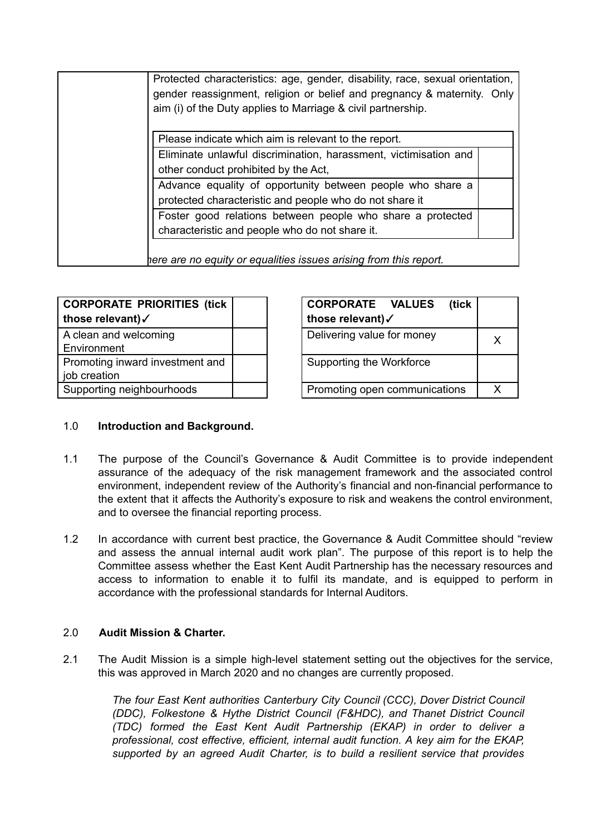|                                                                   | Protected characteristics: age, gender, disability, race, sexual orientation,<br>gender reassignment, religion or belief and pregnancy & maternity. Only |  |
|-------------------------------------------------------------------|----------------------------------------------------------------------------------------------------------------------------------------------------------|--|
|                                                                   | aim (i) of the Duty applies to Marriage & civil partnership.                                                                                             |  |
|                                                                   | Please indicate which aim is relevant to the report.                                                                                                     |  |
|                                                                   | Eliminate unlawful discrimination, harassment, victimisation and                                                                                         |  |
|                                                                   | other conduct prohibited by the Act,<br>Advance equality of opportunity between people who share a                                                       |  |
|                                                                   | protected characteristic and people who do not share it                                                                                                  |  |
|                                                                   | Foster good relations between people who share a protected                                                                                               |  |
|                                                                   | characteristic and people who do not share it.                                                                                                           |  |
| here are no equity or equalities issues arising from this report. |                                                                                                                                                          |  |

| CORPORATE PRIORITIES (tick      | (tick<br><b>CORPORATE VALUES</b> |   |
|---------------------------------|----------------------------------|---|
| those relevant)√                | those relevant)√                 |   |
| A clean and welcoming           | Delivering value for money       | X |
| Environment                     |                                  |   |
| Promoting inward investment and | Supporting the Workforce         |   |
| job creation                    |                                  |   |
| Supporting neighbourhoods       | Promoting open communications    | v |

| <b>CORPORATE VALUES</b><br>(tick |   |
|----------------------------------|---|
| those relevant)√                 |   |
| Delivering value for money       | x |
| Supporting the Workforce         |   |
| Promoting open communications    |   |

#### 1.0 **Introduction and Background.**

- 1.1 The purpose of the Council's Governance & Audit Committee is to provide independent assurance of the adequacy of the risk management framework and the associated control environment, independent review of the Authority's financial and non-financial performance to the extent that it affects the Authority's exposure to risk and weakens the control environment, and to oversee the financial reporting process.
- 1.2 In accordance with current best practice, the Governance & Audit Committee should "review and assess the annual internal audit work plan". The purpose of this report is to help the Committee assess whether the East Kent Audit Partnership has the necessary resources and access to information to enable it to fulfil its mandate, and is equipped to perform in accordance with the professional standards for Internal Auditors.

#### 2.0 **Audit Mission & Charter.**

2.1 The Audit Mission is a simple high-level statement setting out the objectives for the service, this was approved in March 2020 and no changes are currently proposed.

*The four East Kent authorities Canterbury City Council (CCC), Dover District Council (DDC), Folkestone & Hythe District Council (F&HDC), and Thanet District Council (TDC) formed the East Kent Audit Partnership (EKAP) in order to deliver a professional, cost effective, efficient, internal audit function. A key aim for the EKAP, supported by an agreed Audit Charter, is to build a resilient service that provides*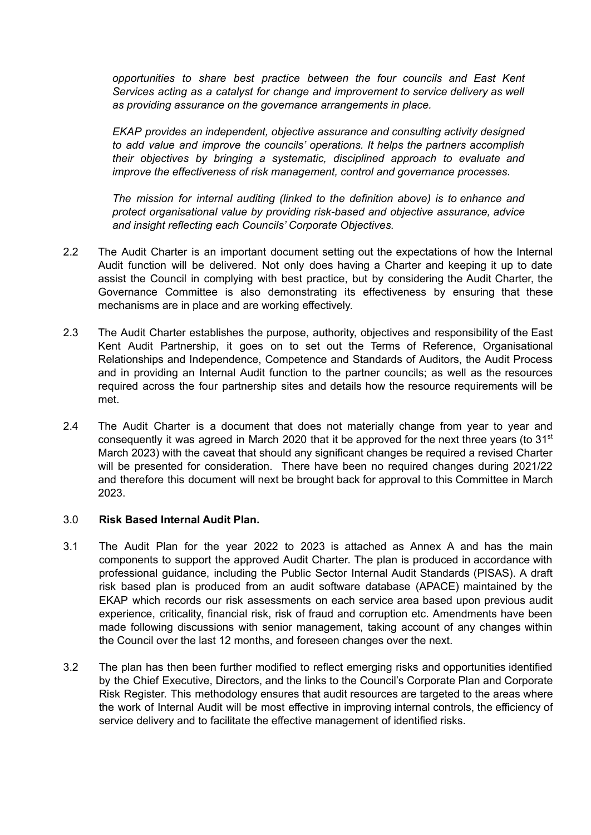*opportunities to share best practice between the four councils and East Kent Services acting as a catalyst for change and improvement to service delivery as well as providing assurance on the governance arrangements in place.*

*EKAP provides an independent, objective assurance and consulting activity designed to add value and improve the councils' operations. It helps the partners accomplish their objectives by bringing a systematic, disciplined approach to evaluate and improve the effectiveness of risk management, control and governance processes.*

*The mission for internal auditing (linked to the definition above) is to enhance and protect organisational value by providing risk-based and objective assurance, advice and insight reflecting each Councils' Corporate Objectives.*

- 2.2 The Audit Charter is an important document setting out the expectations of how the Internal Audit function will be delivered. Not only does having a Charter and keeping it up to date assist the Council in complying with best practice, but by considering the Audit Charter, the Governance Committee is also demonstrating its effectiveness by ensuring that these mechanisms are in place and are working effectively.
- 2.3 The Audit Charter establishes the purpose, authority, objectives and responsibility of the East Kent Audit Partnership, it goes on to set out the Terms of Reference, Organisational Relationships and Independence, Competence and Standards of Auditors, the Audit Process and in providing an Internal Audit function to the partner councils; as well as the resources required across the four partnership sites and details how the resource requirements will be met.
- 2.4 The Audit Charter is a document that does not materially change from year to year and consequently it was agreed in March 2020 that it be approved for the next three years (to 31 $\mathrm{^{st}}$ March 2023) with the caveat that should any significant changes be required a revised Charter will be presented for consideration. There have been no required changes during 2021/22 and therefore this document will next be brought back for approval to this Committee in March 2023.

#### 3.0 **Risk Based Internal Audit Plan.**

- 3.1 The Audit Plan for the year 2022 to 2023 is attached as Annex A and has the main components to support the approved Audit Charter. The plan is produced in accordance with professional guidance, including the Public Sector Internal Audit Standards (PISAS). A draft risk based plan is produced from an audit software database (APACE) maintained by the EKAP which records our risk assessments on each service area based upon previous audit experience, criticality, financial risk, risk of fraud and corruption etc. Amendments have been made following discussions with senior management, taking account of any changes within the Council over the last 12 months, and foreseen changes over the next.
- 3.2 The plan has then been further modified to reflect emerging risks and opportunities identified by the Chief Executive, Directors, and the links to the Council's Corporate Plan and Corporate Risk Register. This methodology ensures that audit resources are targeted to the areas where the work of Internal Audit will be most effective in improving internal controls, the efficiency of service delivery and to facilitate the effective management of identified risks.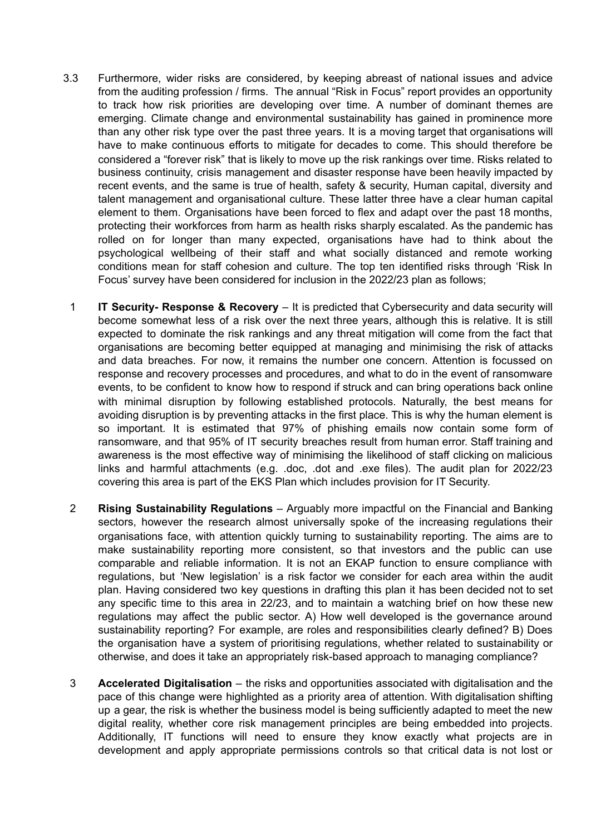- 3.3 Furthermore, wider risks are considered, by keeping abreast of national issues and advice from the auditing profession / firms. The annual "Risk in Focus" report provides an opportunity to track how risk priorities are developing over time. A number of dominant themes are emerging. Climate change and environmental sustainability has gained in prominence more than any other risk type over the past three years. It is a moving target that organisations will have to make continuous efforts to mitigate for decades to come. This should therefore be considered a "forever risk" that is likely to move up the risk rankings over time. Risks related to business continuity, crisis management and disaster response have been heavily impacted by recent events, and the same is true of health, safety & security, Human capital, diversity and talent management and organisational culture. These latter three have a clear human capital element to them. Organisations have been forced to flex and adapt over the past 18 months, protecting their workforces from harm as health risks sharply escalated. As the pandemic has rolled on for longer than many expected, organisations have had to think about the psychological wellbeing of their staff and what socially distanced and remote working conditions mean for staff cohesion and culture. The top ten identified risks through 'Risk In Focus' survey have been considered for inclusion in the 2022/23 plan as follows;
	- 1 **IT Security- Response & Recovery** It is predicted that Cybersecurity and data security will become somewhat less of a risk over the next three years, although this is relative. It is still expected to dominate the risk rankings and any threat mitigation will come from the fact that organisations are becoming better equipped at managing and minimising the risk of attacks and data breaches. For now, it remains the number one concern. Attention is focussed on response and recovery processes and procedures, and what to do in the event of ransomware events, to be confident to know how to respond if struck and can bring operations back online with minimal disruption by following established protocols. Naturally, the best means for avoiding disruption is by preventing attacks in the first place. This is why the human element is so important. It is estimated that 97% of phishing emails now contain some form of ransomware, and that 95% of IT security breaches result from human error. Staff training and awareness is the most effective way of minimising the likelihood of staff clicking on malicious links and harmful attachments (e.g. .doc, .dot and .exe files). The audit plan for 2022/23 covering this area is part of the EKS Plan which includes provision for IT Security.
- 2 **Rising Sustainability Regulations** Arguably more impactful on the Financial and Banking sectors, however the research almost universally spoke of the increasing regulations their organisations face, with attention quickly turning to sustainability reporting. The aims are to make sustainability reporting more consistent, so that investors and the public can use comparable and reliable information. It is not an EKAP function to ensure compliance with regulations, but 'New legislation' is a risk factor we consider for each area within the audit plan. Having considered two key questions in drafting this plan it has been decided not to set any specific time to this area in 22/23, and to maintain a watching brief on how these new regulations may affect the public sector. A) How well developed is the governance around sustainability reporting? For example, are roles and responsibilities clearly defined? B) Does the organisation have a system of prioritising regulations, whether related to sustainability or otherwise, and does it take an appropriately risk-based approach to managing compliance?
- 3 **Accelerated Digitalisation** the risks and opportunities associated with digitalisation and the pace of this change were highlighted as a priority area of attention. With digitalisation shifting up a gear, the risk is whether the business model is being sufficiently adapted to meet the new digital reality, whether core risk management principles are being embedded into projects. Additionally, IT functions will need to ensure they know exactly what projects are in development and apply appropriate permissions controls so that critical data is not lost or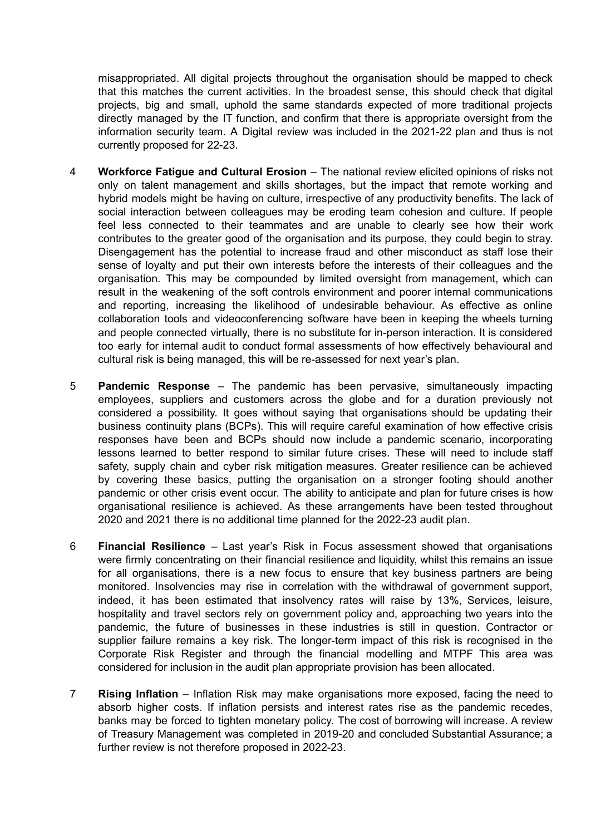misappropriated. All digital projects throughout the organisation should be mapped to check that this matches the current activities. In the broadest sense, this should check that digital projects, big and small, uphold the same standards expected of more traditional projects directly managed by the IT function, and confirm that there is appropriate oversight from the information security team. A Digital review was included in the 2021-22 plan and thus is not currently proposed for 22-23.

- 4 **Workforce Fatigue and Cultural Erosion** The national review elicited opinions of risks not only on talent management and skills shortages, but the impact that remote working and hybrid models might be having on culture, irrespective of any productivity benefits. The lack of social interaction between colleagues may be eroding team cohesion and culture. If people feel less connected to their teammates and are unable to clearly see how their work contributes to the greater good of the organisation and its purpose, they could begin to stray. Disengagement has the potential to increase fraud and other misconduct as staff lose their sense of loyalty and put their own interests before the interests of their colleagues and the organisation. This may be compounded by limited oversight from management, which can result in the weakening of the soft controls environment and poorer internal communications and reporting, increasing the likelihood of undesirable behaviour. As effective as online collaboration tools and videoconferencing software have been in keeping the wheels turning and people connected virtually, there is no substitute for in-person interaction. It is considered too early for internal audit to conduct formal assessments of how effectively behavioural and cultural risk is being managed, this will be re-assessed for next year's plan.
- 5 **Pandemic Response** The pandemic has been pervasive, simultaneously impacting employees, suppliers and customers across the globe and for a duration previously not considered a possibility. It goes without saying that organisations should be updating their business continuity plans (BCPs). This will require careful examination of how effective crisis responses have been and BCPs should now include a pandemic scenario, incorporating lessons learned to better respond to similar future crises. These will need to include staff safety, supply chain and cyber risk mitigation measures. Greater resilience can be achieved by covering these basics, putting the organisation on a stronger footing should another pandemic or other crisis event occur. The ability to anticipate and plan for future crises is how organisational resilience is achieved. As these arrangements have been tested throughout 2020 and 2021 there is no additional time planned for the 2022-23 audit plan.
- 6 **Financial Resilience** Last year's Risk in Focus assessment showed that organisations were firmly concentrating on their financial resilience and liquidity, whilst this remains an issue for all organisations, there is a new focus to ensure that key business partners are being monitored. Insolvencies may rise in correlation with the withdrawal of government support, indeed, it has been estimated that insolvency rates will raise by 13%, Services, leisure, hospitality and travel sectors rely on government policy and, approaching two years into the pandemic, the future of businesses in these industries is still in question. Contractor or supplier failure remains a key risk. The longer-term impact of this risk is recognised in the Corporate Risk Register and through the financial modelling and MTPF This area was considered for inclusion in the audit plan appropriate provision has been allocated.
- 7 **Rising Inflation** Inflation Risk may make organisations more exposed, facing the need to absorb higher costs. If inflation persists and interest rates rise as the pandemic recedes, banks may be forced to tighten monetary policy. The cost of borrowing will increase. A review of Treasury Management was completed in 2019-20 and concluded Substantial Assurance; a further review is not therefore proposed in 2022-23.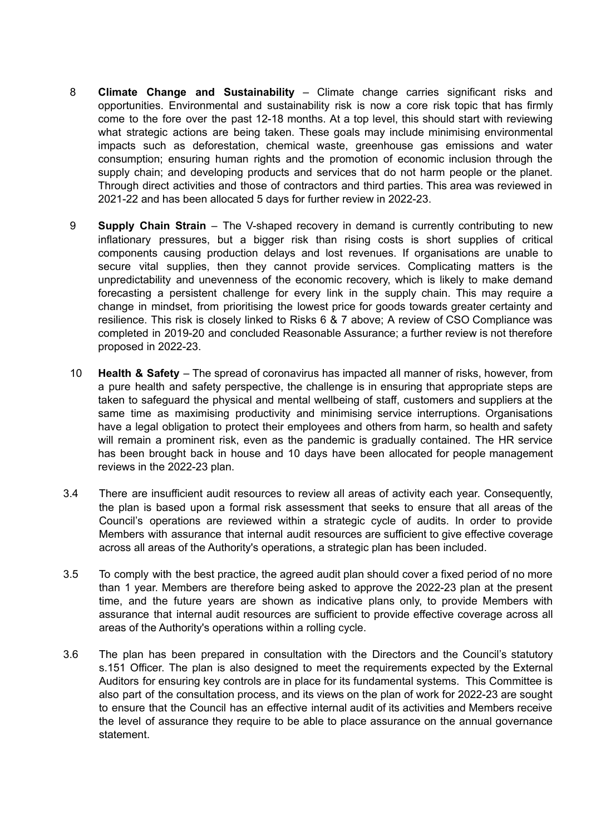- 8 **Climate Change and Sustainability** Climate change carries significant risks and opportunities. Environmental and sustainability risk is now a core risk topic that has firmly come to the fore over the past 12-18 months. At a top level, this should start with reviewing what strategic actions are being taken. These goals may include minimising environmental impacts such as deforestation, chemical waste, greenhouse gas emissions and water consumption; ensuring human rights and the promotion of economic inclusion through the supply chain; and developing products and services that do not harm people or the planet. Through direct activities and those of contractors and third parties. This area was reviewed in 2021-22 and has been allocated 5 days for further review in 2022-23.
- 9 **Supply Chain Strain** The V-shaped recovery in demand is currently contributing to new inflationary pressures, but a bigger risk than rising costs is short supplies of critical components causing production delays and lost revenues. If organisations are unable to secure vital supplies, then they cannot provide services. Complicating matters is the unpredictability and unevenness of the economic recovery, which is likely to make demand forecasting a persistent challenge for every link in the supply chain. This may require a change in mindset, from prioritising the lowest price for goods towards greater certainty and resilience. This risk is closely linked to Risks 6 & 7 above; A review of CSO Compliance was completed in 2019-20 and concluded Reasonable Assurance; a further review is not therefore proposed in 2022-23.
- 10 **Health & Safety** The spread of coronavirus has impacted all manner of risks, however, from a pure health and safety perspective, the challenge is in ensuring that appropriate steps are taken to safeguard the physical and mental wellbeing of staff, customers and suppliers at the same time as maximising productivity and minimising service interruptions. Organisations have a legal obligation to protect their employees and others from harm, so health and safety will remain a prominent risk, even as the pandemic is gradually contained. The HR service has been brought back in house and 10 days have been allocated for people management reviews in the 2022-23 plan.
- 3.4 There are insufficient audit resources to review all areas of activity each year. Consequently, the plan is based upon a formal risk assessment that seeks to ensure that all areas of the Council's operations are reviewed within a strategic cycle of audits. In order to provide Members with assurance that internal audit resources are sufficient to give effective coverage across all areas of the Authority's operations, a strategic plan has been included.
- 3.5 To comply with the best practice, the agreed audit plan should cover a fixed period of no more than 1 year. Members are therefore being asked to approve the 2022-23 plan at the present time, and the future years are shown as indicative plans only, to provide Members with assurance that internal audit resources are sufficient to provide effective coverage across all areas of the Authority's operations within a rolling cycle.
- 3.6 The plan has been prepared in consultation with the Directors and the Council's statutory s.151 Officer. The plan is also designed to meet the requirements expected by the External Auditors for ensuring key controls are in place for its fundamental systems. This Committee is also part of the consultation process, and its views on the plan of work for 2022-23 are sought to ensure that the Council has an effective internal audit of its activities and Members receive the level of assurance they require to be able to place assurance on the annual governance statement.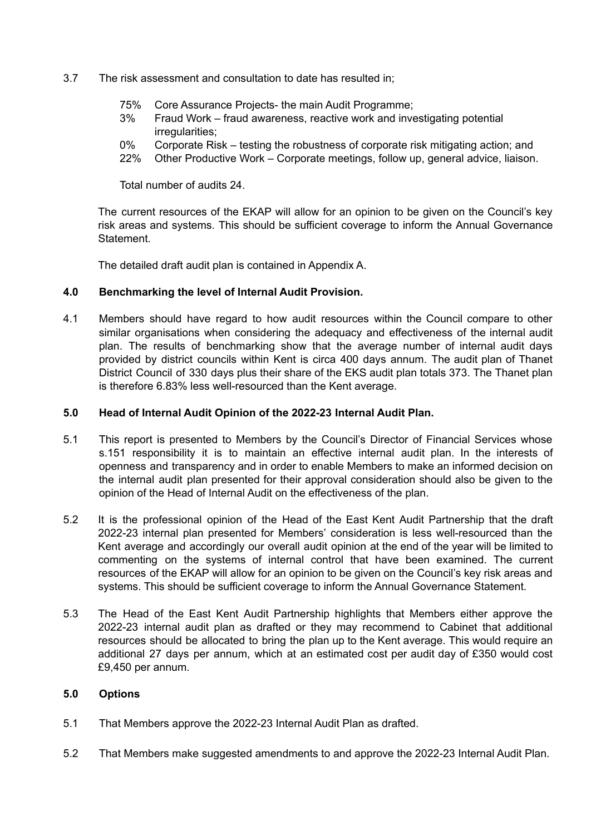- 3.7 The risk assessment and consultation to date has resulted in;
	- 75% Core Assurance Projects- the main Audit Programme;
	- 3% Fraud Work fraud awareness, reactive work and investigating potential irregularities;
	- 0% Corporate Risk testing the robustness of corporate risk mitigating action; and
	- 22% Other Productive Work Corporate meetings, follow up, general advice, liaison.

Total number of audits 24.

The current resources of the EKAP will allow for an opinion to be given on the Council's key risk areas and systems. This should be sufficient coverage to inform the Annual Governance Statement.

The detailed draft audit plan is contained in Appendix A.

#### **4.0 Benchmarking the level of Internal Audit Provision.**

4.1 Members should have regard to how audit resources within the Council compare to other similar organisations when considering the adequacy and effectiveness of the internal audit plan. The results of benchmarking show that the average number of internal audit days provided by district councils within Kent is circa 400 days annum. The audit plan of Thanet District Council of 330 days plus their share of the EKS audit plan totals 373. The Thanet plan is therefore 6.83% less well-resourced than the Kent average.

#### **5.0 Head of Internal Audit Opinion of the 2022-23 Internal Audit Plan.**

- 5.1 This report is presented to Members by the Council's Director of Financial Services whose s.151 responsibility it is to maintain an effective internal audit plan. In the interests of openness and transparency and in order to enable Members to make an informed decision on the internal audit plan presented for their approval consideration should also be given to the opinion of the Head of Internal Audit on the effectiveness of the plan.
- 5.2 It is the professional opinion of the Head of the East Kent Audit Partnership that the draft 2022-23 internal plan presented for Members' consideration is less well-resourced than the Kent average and accordingly our overall audit opinion at the end of the year will be limited to commenting on the systems of internal control that have been examined. The current resources of the EKAP will allow for an opinion to be given on the Council's key risk areas and systems. This should be sufficient coverage to inform the Annual Governance Statement.
- 5.3 The Head of the East Kent Audit Partnership highlights that Members either approve the 2022-23 internal audit plan as drafted or they may recommend to Cabinet that additional resources should be allocated to bring the plan up to the Kent average. This would require an additional 27 days per annum, which at an estimated cost per audit day of £350 would cost £9,450 per annum.

#### **5.0 Options**

- 5.1 That Members approve the 2022-23 Internal Audit Plan as drafted.
- 5.2 That Members make suggested amendments to and approve the 2022-23 Internal Audit Plan.